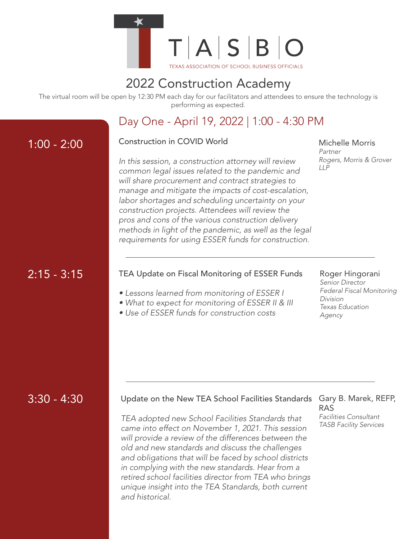

# 2022 Construction Academy

The virtual room will be open by 12:30 PM each day for our facilitators and attendees to ensure the technology is performing as expected.

# Day One - April 19, 2022 | 1:00 - 4:30 PM

## 1:00 - 2:00 Construction in COVID World

*In this session, a construction attorney will review common legal issues related to the pandemic and will share procurement and contract strategies to manage and mitigate the impacts of cost-escalation, labor shortages and scheduling uncertainty on your construction projects. Attendees will review the pros and cons of the various construction delivery methods in light of the pandemic, as well as the legal requirements for using ESSER funds for construction.*

#### Michelle Morris *Partner*

*Rogers, Morris & Grover LLP*

# 2:15 - 3:15

## TEA Update on Fiscal Monitoring of ESSER Funds

- *Lessons learned from monitoring of ESSER I*
- *What to expect for monitoring of ESSER II & III*
- *Use of ESSER funds for construction costs*

## Roger Hingorani

*Senior Director Federal Fiscal Monitoring Division Texas Education Agency*

## 3:30 - 4:30

## Update on the New TEA School Facilities Standards Gary B. Marek, REFP,

*TEA adopted new School Facilities Standards that came into effect on November 1, 2021. This session will provide a review of the differences between the old and new standards and discuss the challenges and obligations that will be faced by school districts in complying with the new standards. Hear from a retired school facilities director from TEA who brings unique insight into the TEA Standards, both current and historical.*

# RAS

*Facilities Consultant TASB Facility Services*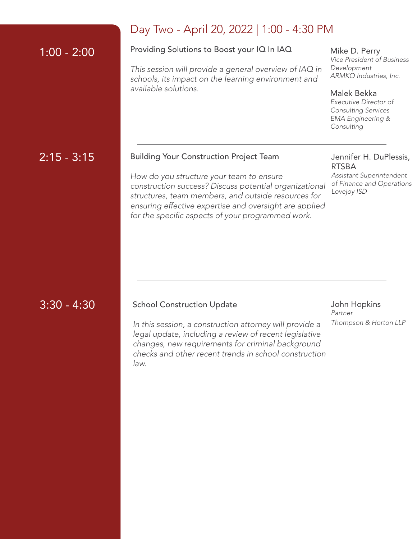|               | Day Two - April 20, 2022   1:00 -                                                                                                                                                                                                        |
|---------------|------------------------------------------------------------------------------------------------------------------------------------------------------------------------------------------------------------------------------------------|
| $1:00 - 2:00$ | Providing Solutions to Boost your IQ In IAQ                                                                                                                                                                                              |
|               | This session will provide a general overview o<br>schools, its impact on the learning environme<br>available solutions.                                                                                                                  |
|               |                                                                                                                                                                                                                                          |
| $2:15 - 3:15$ | <b>Building Your Construction Project Team</b>                                                                                                                                                                                           |
|               | How do you structure your team to ensure<br>construction success? Discuss potential orga<br>structures, team members, and outside resou<br>ensuring effective expertise and oversight are<br>for the specific aspects of your programmed |
|               |                                                                                                                                                                                                                                          |

# 22 | 1:00 - 4:30 PM

*This session will provide a general overview of IAQ in schools, its impact on the learning environment and* 

Mike D. Perry *Vice President of Business Development ARMKO Industries, Inc.*

Malek Bekka

*Executive Director of Consulting Services EMA Engineering & Consulting*

## ect Team

*How do you structure your team to ensure construction success? Discuss potential organizational structures, team members, and outside resources for ensuring effective expertise and oversight are applied for the specific aspects of your programmed work.*

### Jennifer H. DuPlessis, RTSBA

*Assistant Superintendent of Finance and Operations Lovejoy ISD*

## 3:30 - 4:30

## School Construction Update

John Hopkins *Partner Thompson & Horton LLP*

*In this session, a construction attorney will provide a legal update, including a review of recent legislative changes, new requirements for criminal background checks and other recent trends in school construction law.*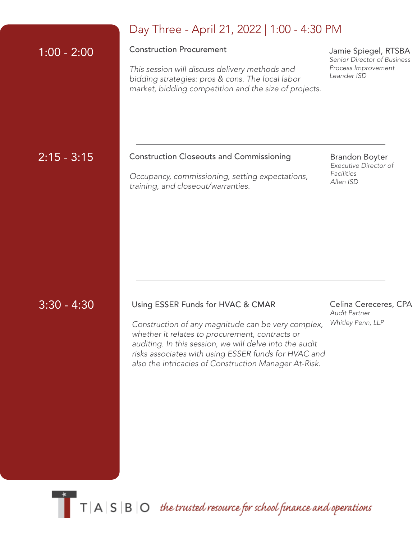|               | Day Three - April 21, 2022   1:00 - 4:30 PM                                                                                                                                                           |                                                                                           |  |
|---------------|-------------------------------------------------------------------------------------------------------------------------------------------------------------------------------------------------------|-------------------------------------------------------------------------------------------|--|
| $1:00 - 2:00$ | <b>Construction Procurement</b><br>This session will discuss delivery methods and<br>bidding strategies: pros & cons. The local labor<br>market, bidding competition and the size of projects.        | Jamie Spiegel, RTSBA<br>Senior Director of Business<br>Process Improvement<br>Leander ISD |  |
| $2:15 - 3:15$ | <b>Construction Closeouts and Commissioning</b><br>Occupancy, commissioning, setting expectations,<br>training, and closeout/warranties.                                                              | <b>Brandon Boyter</b><br>Executive Director of<br>Facilities<br>Allen ISD                 |  |
| $3:30 - 4:30$ | Using ESSER Funds for HVAC & CMAR<br>Construction of any magnitude can be very complex,<br>whether it relates to procurement, contracts or<br>auditing. In this session, we will delve into the audit | Celina Cereceres, CPA<br>Audit Partner<br>Whitley Penn, LLP                               |  |

 $\blacksquare$  T  $\vert$  A  $\vert$  S  $\vert$  B  $\vert$  O the trusted resource for school finance and operations

*risks associates with using ESSER funds for HVAC and also the intricacies of Construction Manager At-Risk.*